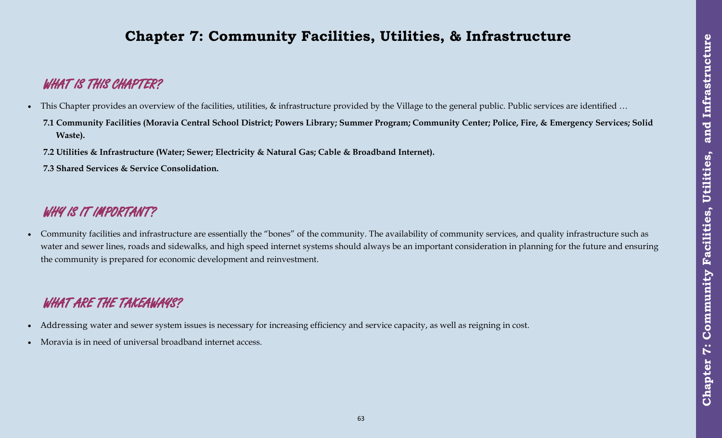# **Chapter 7: Community Facilities, Utilities, & Infrastructure**

# **WHAT IS THIS CHAPTER?**

- This Chapter provides an overview of the facilities, utilities, & infrastructure provided by the Village to the general public. Public services are identified ...
- **7.1 Community Facilities (Moravia Central School District; Powers Library; Summer Program; Community Center; Police, Fire, & Emergency Services; Solid Waste).**
- **7.2 Utilities & Infrastructure (Water; Sewer; Electricity & Natural Gas; Cable & Broadband Internet).**
- **7.3 Shared Services & Service Consolidation.**

# WHY IS IT IMPORTANT?

 Community facilities and infrastructure are essentially the "bones" of the community. The availability of community services, and quality infrastructure such as water and sewer lines, roads and sidewalks, and high speed internet systems should always be an important consideration in planning for the future and ensuring the community is prepared for economic development and reinvestment.

# **WHAT ARE THE TAKEAWAYS?**

- Addressing water and sewer system issues is necessary for increasing efficiency and service capacity, as well as reigning in cost.
- Moravia is in need of universal broadband internet access.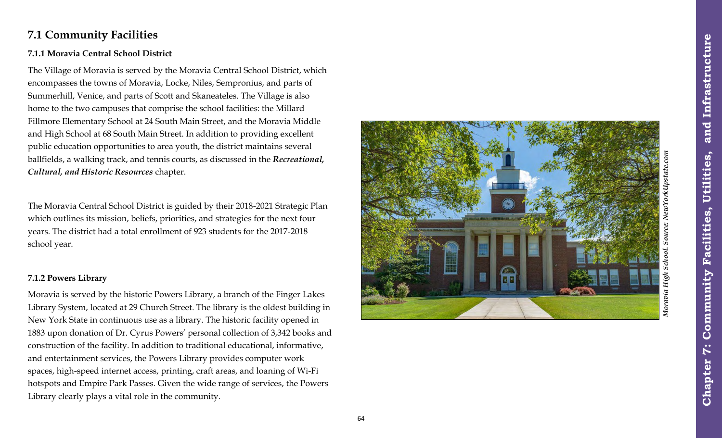## **7.1 Community Facilities**

### **7.1.1 Moravia Central School District**

The Village of Moravia is served by the Moravia Central School District, which encompasses the towns of Moravia, Locke, Niles, Sempronius, and parts of Summerhill, Venice, and parts of Scott and Skaneateles. The Village is also home to the two campuses that comprise the school facilities: the Millard Fillmore Elementary School at 24 South Main Street, and the Moravia Middle and High School at 68 South Main Street. In addition to providing excellent public education opportunities to area youth, the district maintains several ballfields, a walking track, and tennis courts, as discussed in the *Recreational, Cultural, and Historic Resources* chapter.

The Moravia Central School District is guided by their 2018 -2021 Strategic Plan which outlines its mission, beliefs, priorities, and strategies for the next four years. The district had a total enrollment of 923 students for the 2017 -2018 school year.

#### **7.1.2 Powers Library**

Moravia is served by the historic Powers Library, a branch of the Finger Lakes Library System, located at 29 Church Street. The library is the oldest building in New York State in continuous use as a library. The historic facility opened in 1883 upon donation of Dr. Cyrus Powers' personal collection of 3,342 books and construction of the facility. In addition to traditional educational, informative, and entertainment services, the Powers Library provides computer work spaces, high -speed internet access, printing, craft areas, and loaning of Wi -Fi hotspots and Empire Park Passes. Given the wide range of services, the Powers Library clearly plays a vital role in the community.

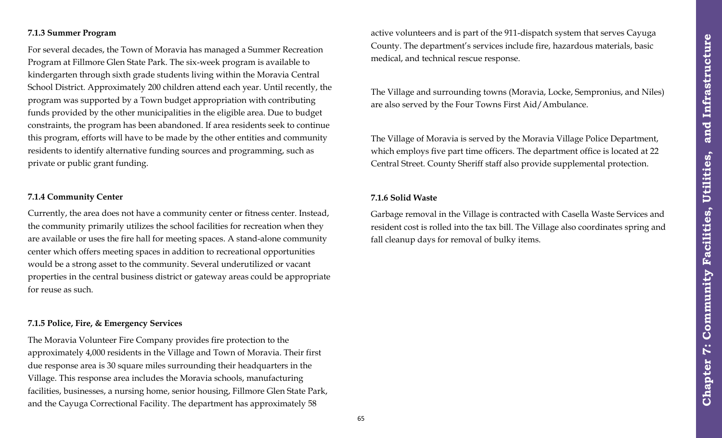#### **7.1.3 Summer Program**

For several decades, the Town of Moravia has managed a Summer Recreation Program at Fillmore Glen State Park. The six-week program is available to kindergarten through sixth grade students living within the Moravia Central School District. Approximately 200 children attend each year. Until recently, the program was supported by a Town budget appropriation with contributing funds provided by the other municipalities in the eligible area. Due to budget constraints, the program has been abandoned. If area residents seek to continue this program, efforts will have to be made by the other entities and community residents to identify alternative funding sources and programming, such as private or public grant funding.

#### **7.1.4 Community Center**

Currently, the area does not have a community center or fitness center. Instead, the community primarily utilizes the school facilities for recreation when they are available or uses the fire hall for meeting spaces. A stand-alone community center which offers meeting spaces in addition to recreational opportunities would be a strong asset to the community. Several underutilized or vacant properties in the central business district or gateway areas could be appropriate for reuse as such.

#### **7.1.5 Police, Fire, & Emergency Services**

The Moravia Volunteer Fire Company provides fire protection to the approximately 4,000 residents in the Village and Town of Moravia. Their first due response area is 30 square miles surrounding their headquarters in the Village. This response area includes the Moravia schools, manufacturing facilities, businesses, a nursing home, senior housing, Fillmore Glen State Park, and the Cayuga Correctional Facility. The department has approximately 58

active volunteers and is part of the 911-dispatch system that serves Cayuga County. The department's services include fire, hazardous materials, basic medical, and technical rescue response.

The Village and surrounding towns (Moravia, Locke, Sempronius, and Niles) are also served by the Four Towns First Aid/Ambulance.

The Village of Moravia is served by the Moravia Village Police Department, which employs five part time officers. The department office is located at 22 Central Street. County Sheriff staff also provide supplemental protection.

#### **7.1.6 Solid Waste**

Garbage removal in the Village is contracted with Casella Waste Services and resident cost is rolled into the tax bill. The Village also coordinates spring and fall cleanup days for removal of bulky items.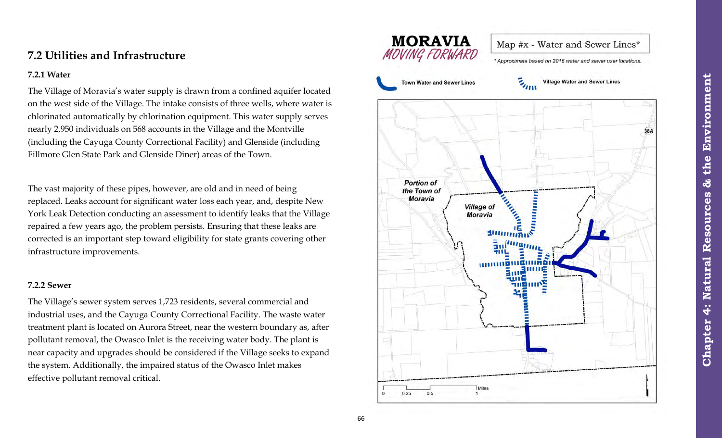## **7.2 Utilities and Infrastructure**

#### **7.2.1 Water**

The Village of Moravia's water supply is drawn from a confined aquifer located on the west side of the Village. The intake consists of three wells, where water is chlorinated automatically by chlorination equipment. This water supply serves nearly 2,950 individuals on 568 accounts in the Village and the Montville (including the Cayuga County Correctional Facility) and Glenside (including Fillmore Glen State Park and Glenside Diner) areas of the Town.

The vast majority of these pipes, however, are old and in need of being replaced. Leaks account for significant water loss each year, and, despite New York Leak Detection conducting an assessment to identify leaks that the Village repaired a few years ago, the problem persists. Ensuring that these leaks are corrected is an important step toward eligibility for state grants covering other infrastructure improvements.

### **7.2.2 Sewer**

The Village's sewer system serves 1,723 residents, several commercial and industrial uses, and the Cayuga County Correctional Facility. The waste water treatment plant is located on Aurora Street, near the western boundary as, after pollutant removal, the Owasco Inlet is the receiving water body. The plant is near capacity and upgrades should be considered if the Village seeks to expand the system. Additionally, the impaired status of the Owasco Inlet makes effective pollutant removal critical.

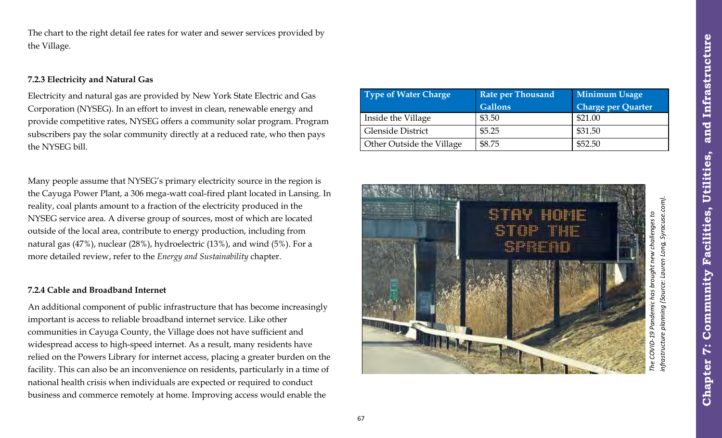The chart to the right detail fee rates for water and sewer services provided by the Village.

### **7.2.3 Electricity and Natural Gas**

Electricity and natural gas are provided by New York State Electric and Gas Corporation (NYSEG). In an effort to invest in clean, renewable energy and provide competitive rates, NYSEG offers a community solar program. Program subscribers pay the solar community directly at a reduced rate, who then pays the NYSEG bill.

Many people assume that NYSEG's primary electricity source in the region is the Cayuga Power Plant, a 306 mega-watt coal-fired plant located in Lansing. In reality, coal plants amount to a fraction of the electricity produced in the NYSEG service area. A diverse group of sources, most of which are located outside of the local area, contribute to energy production, including from natural gas (47%), nuclear (28%), hydroelectric (13%), and wind (5%). For a more detailed review, refer to the *Energy and Sustainability* chapter.

### **7.2.4 Cable and Broadband Internet**

An additional component of public infrastructure that has become increasingly important is access to reliable broadband internet service. Like other communities in Cayuga County, the Village does not have sufficient and widespread access to high-speed internet. As a result, many residents have relied on the Powers Library for internet access, placing a greater burden on the facility. This can also be an inconvenience on residents, particularly in a time of national health crisis when individuals are expected or required to conduct business and commerce remotely at home. Improving access would enable the

| Type of Water Charge      | <b>Rate per Thousand</b> | <b>Minimum Usage</b>      |
|---------------------------|--------------------------|---------------------------|
|                           | <b>Gallons</b>           | <b>Charge per Quarter</b> |
| Inside the Village        | \$3.50                   | \$21.00                   |
| <b>Glenside District</b>  | \$5.25                   | \$31.50                   |
| Other Outside the Village | \$8.75                   | \$52.50                   |



**Chapter 7: Community Facilities, Utilities, and Infrastructure**

**Facilities,** 

Community

 $\ddot{\bm{\zeta}}$ 

Chapter

Utilities,

and Infrastructure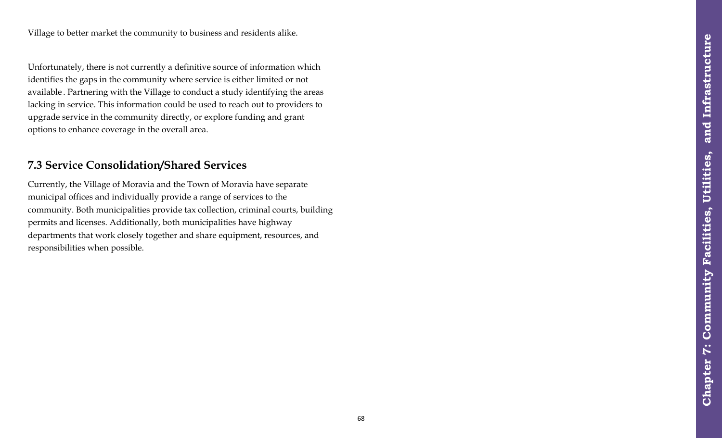Unfortunately, there is not currently a definitive source of information which identifies the gaps in the community where service is either limited or not available . Partnering with the Village to conduct a study identifying the areas lacking in service. This information could be used to reach out to providers to upgrade service in the community directly, or explore funding and grant options to enhance coverage in the overall area.

## **7.3 Service Consolidation/Shared Services**

Currently, the Village of Moravia and the Town of Moravia have separate municipal offices and individually provide a range of services to the community. Both municipalities provide tax collection, criminal courts, building permits and licenses. Additionally, both municipalities have highway departments that work closely together and share equipment, resources, and responsibilities when possible.